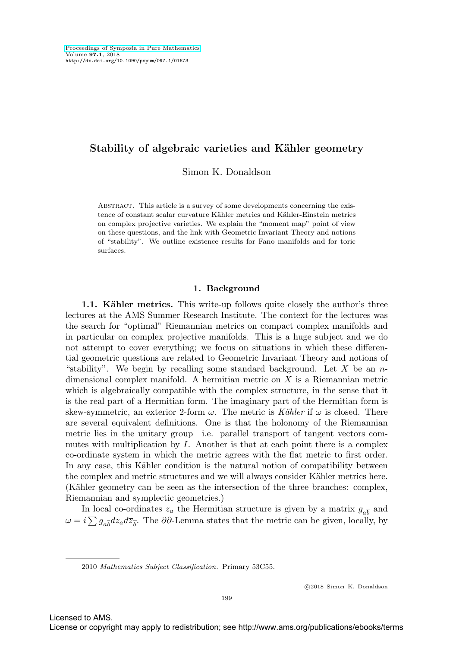# Stability of algebraic varieties and Kähler geometry

Simon K. Donaldson

Abstract. This article is a survey of some developments concerning the existence of constant scalar curvature Kähler metrics and Kähler-Einstein metrics on complex projective varieties. We explain the "moment map" point of view on these questions, and the link with Geometric Invariant Theory and notions of "stability". We outline existence results for Fano manifolds and for toric surfaces.

## **1. Background**

**1.1. Kähler metrics.** This write-up follows quite closely the author's three lectures at the AMS Summer Research Institute. The context for the lectures was the search for "optimal" Riemannian metrics on compact complex manifolds and in particular on complex projective manifolds. This is a huge subject and we do not attempt to cover everything; we focus on situations in which these differential geometric questions are related to Geometric Invariant Theory and notions of "stability". We begin by recalling some standard background. Let X be an  $n$ dimensional complex manifold. A hermitian metric on X is a Riemannian metric which is algebraically compatible with the complex structure, in the sense that it is the real part of a Hermitian form. The imaginary part of the Hermitian form is skew-symmetric, an exterior 2-form  $\omega$ . The metric is Kähler if  $\omega$  is closed. There are several equivalent definitions. One is that the holonomy of the Riemannian metric lies in the unitary group—i.e. parallel transport of tangent vectors commutes with multiplication by I. Another is that at each point there is a complex co-ordinate system in which the metric agrees with the flat metric to first order. In any case, this Kähler condition is the natural notion of compatibility between the complex and metric structures and we will always consider Kähler metrics here. (Kähler geometry can be seen as the intersection of the three branches: complex, Riemannian and symplectic geometries.)

In local co-ordinates  $z_a$  the Hermitian structure is given by a matrix  $g_{a\bar{b}}$  and  $\omega = i \sum g_{a\overline{b}}dz_a d\overline{z}_{\overline{b}}$ . The ∂∂-Lemma states that the metric can be given, locally, by

Licensed to AMS.

<sup>2010</sup> Mathematics Subject Classification. Primary 53C55.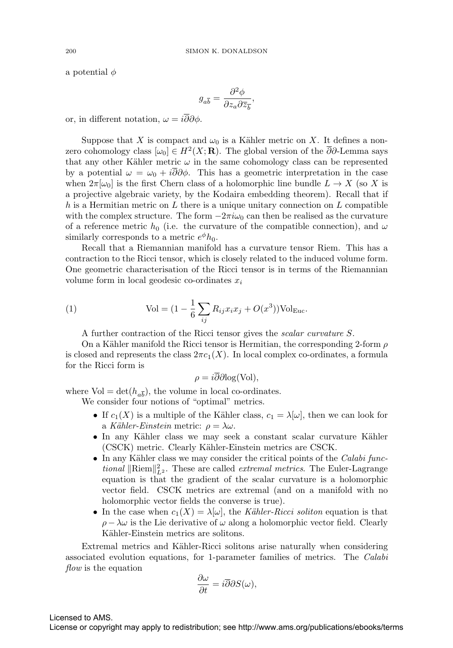a potential  $\phi$ 

$$
g_{a\overline{b}} = \frac{\partial^2 \phi}{\partial z_a \partial \overline{z}_{\overline{b}}},
$$

or, in different notation,  $\omega = i\overline{\partial}\partial\phi$ .

Suppose that X is compact and  $\omega_0$  is a Kähler metric on X. It defines a nonzero cohomology class  $[\omega_0] \in H^2(X; \mathbf{R})$ . The global version of the  $\overline{\partial}\partial$ -Lemma says that any other Kähler metric  $\omega$  in the same cohomology class can be represented by a potential  $\omega = \omega_0 + i\overline{\partial}\partial\phi$ . This has a geometric interpretation in the case when  $2\pi[\omega_0]$  is the first Chern class of a holomorphic line bundle  $L \to X$  (so X is a projective algebraic variety, by the Kodaira embedding theorem). Recall that if h is a Hermitian metric on  $L$  there is a unique unitary connection on  $L$  compatible with the complex structure. The form  $-2\pi i\omega_0$  can then be realised as the curvature of a reference metric  $h_0$  (i.e. the curvature of the compatible connection), and  $\omega$ similarly corresponds to a metric  $e^{\phi}h_0$ .

Recall that a Riemannian manifold has a curvature tensor Riem. This has a contraction to the Ricci tensor, which is closely related to the induced volume form. One geometric characterisation of the Ricci tensor is in terms of the Riemannian volume form in local geodesic co-ordinates  $x_i$ 

(1) 
$$
\text{Vol} = (1 - \frac{1}{6} \sum_{ij} R_{ij} x_i x_j + O(x^3)) \text{Vol}_{\text{Euc}}.
$$

A further contraction of the Ricci tensor gives the scalar curvature S.

On a Kähler manifold the Ricci tensor is Hermitian, the corresponding 2-form  $\rho$ is closed and represents the class  $2\pi c_1(X)$ . In local complex co-ordinates, a formula for the Ricci form is

$$
\rho = i \overline{\partial} \partial \log(\text{Vol}),
$$

where  $Vol = det(h_{a\overline{b}})$ , the volume in local co-ordinates.

We consider four notions of "optimal" metrics.

- If  $c_1(X)$  is a multiple of the Kähler class,  $c_1 = \lambda[\omega]$ , then we can look for a Kähler-Einstein metric:  $\rho = \lambda \omega$ .
- In any Kähler class we may seek a constant scalar curvature Kähler (CSCK) metric. Clearly Kähler-Einstein metrics are CSCK.
- In any Kähler class we may consider the critical points of the *Calabi func*tional  $\|\text{Riem}\|_{L^2}^2$ . These are called *extremal metrics*. The Euler-Lagrange equation is that the gradient of the scalar curvature is a holomorphic vector field. CSCK metrics are extremal (and on a manifold with no holomorphic vector fields the converse is true).
- In the case when  $c_1(X) = \lambda[\omega]$ , the Kähler-Ricci soliton equation is that  $\rho - \lambda \omega$  is the Lie derivative of  $\omega$  along a holomorphic vector field. Clearly Kähler-Einstein metrics are solitons.

Extremal metrics and Kähler-Ricci solitons arise naturally when considering associated evolution equations, for 1-parameter families of metrics. The Calabi  $flow$  is the equation

$$
\frac{\partial \omega}{\partial t} = i\overline{\partial} \partial S(\omega),
$$

Licensed to AMS.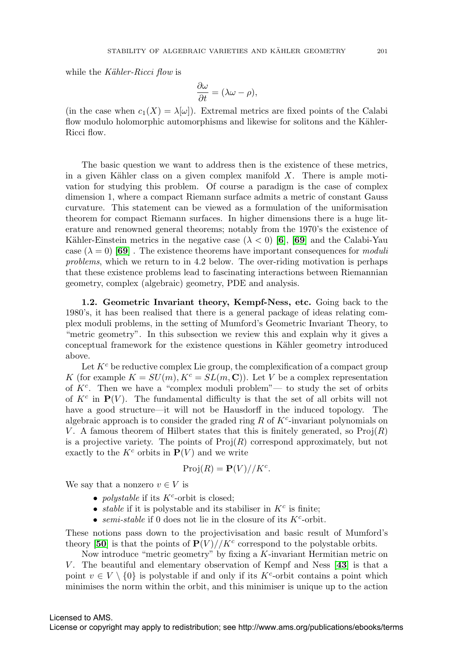while the Kähler-Ricci flow is

$$
\frac{\partial \omega}{\partial t} = (\lambda \omega - \rho),
$$

(in the case when  $c_1(X) = \lambda[\omega]$ ). Extremal metrics are fixed points of the Calabi flow modulo holomorphic automorphisms and likewise for solitons and the Kähler-Ricci flow.

The basic question we want to address then is the existence of these metrics, in a given Kähler class on a given complex manifold  $X$ . There is ample motivation for studying this problem. Of course a paradigm is the case of complex dimension 1, where a compact Riemann surface admits a metric of constant Gauss curvature. This statement can be viewed as a formulation of the uniformisation theorem for compact Riemann surfaces. In higher dimensions there is a huge literature and renowned general theorems; notably from the 1970's the existence of Kähler-Einstein metrics in the negative case  $(\lambda < 0)$  [[6](#page-20-0)], [[69](#page-22-0)] and the Calabi-Yau case  $(\lambda = 0)$  **[[69](#page-22-0)]**. The existence theorems have important consequences for *moduli* problems, which we return to in 4.2 below. The over-riding motivation is perhaps that these existence problems lead to fascinating interactions between Riemannian geometry, complex (algebraic) geometry, PDE and analysis.

**1.2. Geometric Invariant theory, Kempf-Ness, etc.** Going back to the 1980's, it has been realised that there is a general package of ideas relating complex moduli problems, in the setting of Mumford's Geometric Invariant Theory, to "metric geometry". In this subsection we review this and explain why it gives a conceptual framework for the existence questions in K¨ahler geometry introduced above.

Let  $K<sup>c</sup>$  be reductive complex Lie group, the complexification of a compact group K (for example  $K = SU(m), K^c = SL(m, \mathbb{C})$ ). Let V be a complex representation of  $K<sup>c</sup>$ . Then we have a "complex moduli problem"— to study the set of orbits of  $K^c$  in  $\mathbf{P}(V)$ . The fundamental difficulty is that the set of all orbits will not have a good structure—it will not be Hausdorff in the induced topology. The algebraic approach is to consider the graded ring R of  $K^c$ -invariant polynomials on V. A famous theorem of Hilbert states that this is finitely generated, so  $\text{Proj}(R)$ is a projective variety. The points of  $\text{Proj}(R)$  correspond approximately, but not exactly to the  $K^c$  orbits in  $P(V)$  and we write

$$
Proj(R) = \mathbf{P}(V) // K^c.
$$

We say that a nonzero  $v \in V$  is

- *polystable* if its  $K^c$ -orbit is closed;
- *stable* if it is polystable and its stabiliser in  $K^c$  is finite;
- semi-stable if 0 does not lie in the closure of its  $K^c$ -orbit.

These notions pass down to the projectivisation and basic result of Mumford's theory [[50](#page-22-1)] is that the points of  $P(V)/\sqrt{K^c}$  correspond to the polystable orbits.

Now introduce "metric geometry" by fixing a  $K$ -invariant Hermitian metric on V . The beautiful and elementary observation of Kempf and Ness [**[43](#page-21-0)**] is that a point  $v \in V \setminus \{0\}$  is polystable if and only if its K<sup>c</sup>-orbit contains a point which minimises the norm within the orbit, and this minimiser is unique up to the action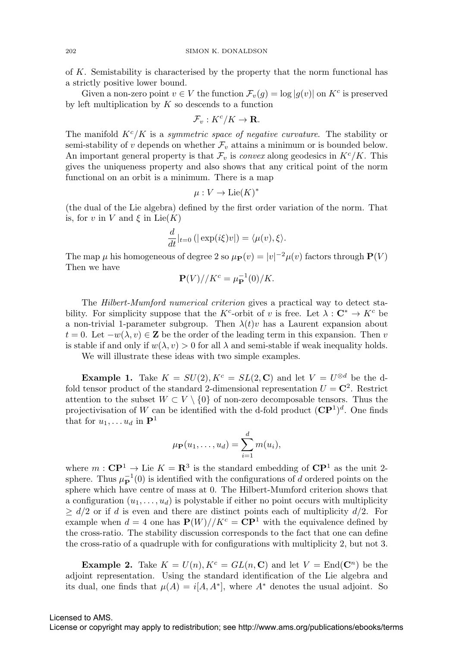of K. Semistability is characterised by the property that the norm functional has a strictly positive lower bound.

Given a non-zero point  $v \in V$  the function  $\mathcal{F}_v(g) = \log |g(v)|$  on  $K^c$  is preserved by left multiplication by  $K$  so descends to a function

$$
\mathcal{F}_v: K^c/K \to \mathbf{R}.
$$

The manifold  $K^{c}/K$  is a symmetric space of negative curvature. The stability or semi-stability of v depends on whether  $\mathcal{F}_v$  attains a minimum or is bounded below. An important general property is that  $\mathcal{F}_v$  is convex along geodesics in  $K^c/K$ . This gives the uniqueness property and also shows that any critical point of the norm functional on an orbit is a minimum. There is a map

$$
\mu: V \to \text{Lie}(K)^*
$$

(the dual of the Lie algebra) defined by the first order variation of the norm. That is, for v in V and  $\xi$  in Lie(K)

$$
\frac{d}{dt}|_{t=0} (|\exp(i\xi)v|) = \langle \mu(v), \xi \rangle.
$$

The map  $\mu$  his homogeneous of degree 2 so  $\mu_{\mathbf{P}}(v) = |v|^{-2} \mu(v)$  factors through  $\mathbf{P}(V)$ Then we have

$$
\mathbf{P}(V) // K^c = \mu_{\mathbf{P}}^{-1}(0) / K.
$$

The Hilbert-Mumford numerical criterion gives a practical way to detect stability. For simplicity suppose that the K<sup>c</sup>-orbit of v is free. Let  $\lambda : \mathbb{C}^* \to K^c$  be a non-trivial 1-parameter subgroup. Then  $\lambda(t)v$  has a Laurent expansion about  $t = 0$ . Let  $-w(\lambda, v) \in \mathbb{Z}$  be the order of the leading term in this expansion. Then v is stable if and only if  $w(\lambda, v) > 0$  for all  $\lambda$  and semi-stable if weak inequality holds.

We will illustrate these ideas with two simple examples.

**Example 1.** Take  $K = SU(2), K^c = SL(2, \mathbb{C})$  and let  $V = U^{\otimes d}$  be the dfold tensor product of the standard 2-dimensional representation  $U = \mathbb{C}^2$ . Restrict attention to the subset  $W \subset V \setminus \{0\}$  of non-zero decomposable tensors. Thus the projectivisation of W can be identified with the d-fold product  $({\bf CP}^1)^d$ . One finds that for  $u_1, \ldots, u_d$  in  $\mathbf{P}^1$ 

$$
\mu_{\mathbf{P}}(u_1,\ldots,u_d)=\sum_{i=1}^d m(u_i),
$$

where  $m:$  **CP**<sup>1</sup>  $\rightarrow$  Lie  $K = \mathbb{R}^3$  is the standard embedding of **CP**<sup>1</sup> as the unit 2sphere. Thus  $\mu_{\mathbf{P}}^{-1}(0)$  is identified with the configurations of d ordered points on the sphere which have centre of mass at 0. The Hilbert-Mumford criterion shows that a configuration  $(u_1,\ldots,u_d)$  is polystable if either no point occurs with multiplicity  $\geq d/2$  or if d is even and there are distinct points each of multiplicity  $d/2$ . For example when  $d = 4$  one has  $P(W)/K^c = \mathbb{C}P^1$  with the equivalence defined by the cross-ratio. The stability discussion corresponds to the fact that one can define the cross-ratio of a quadruple with for configurations with multiplicity 2, but not 3.

**Example 2.** Take  $K = U(n)$ ,  $K^c = GL(n, \mathbb{C})$  and let  $V = End(\mathbb{C}^n)$  be the adjoint representation. Using the standard identification of the Lie algebra and its dual, one finds that  $\mu(A) = i[A, A^*]$ , where  $A^*$  denotes the usual adjoint. So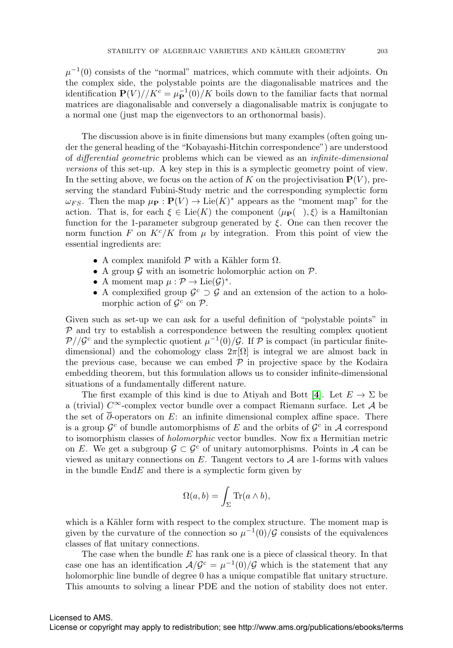$\mu^{-1}(0)$  consists of the "normal" matrices, which commute with their adjoints. On the complex side, the polystable points are the diagonalisable matrices and the identification  $P(V)/K^c = \mu_P^{-1}(0)/K$  boils down to the familiar facts that normal matrices are diagonalisable and conversely a diagonalisable matrix is conjugate to a normal one (just map the eigenvectors to an orthonormal basis).

The discussion above is in finite dimensions but many examples (often going under the general heading of the "Kobayashi-Hitchin correspondence") are understood of differential geometric problems which can be viewed as an infinite-dimensional versions of this set-up. A key step in this is a symplectic geometry point of view. In the setting above, we focus on the action of K on the projectivisation  $P(V)$ , preserving the standard Fubini-Study metric and the corresponding symplectic form  $\omega_{FS}$ . Then the map  $\mu_{\mathbf{P}} : \mathbf{P}(V) \to \text{Lie}(K)^*$  appears as the "moment map" for the action. That is, for each  $\xi \in \text{Lie}(K)$  the component  $\langle \mu_{\mathbf{P}}(\cdot), \xi \rangle$  is a Hamiltonian function for the 1-parameter subgroup generated by  $\xi$ . One can then recover the norm function F on  $K^c/K$  from  $\mu$  by integration. From this point of view the essential ingredients are:

- A complex manifold  $P$  with a Kähler form  $\Omega$ .
- A group  $\mathcal G$  with an isometric holomorphic action on  $\mathcal P$ .
- A moment map  $\mu : \mathcal{P} \to \text{Lie}(\mathcal{G})^*$ .
- A complexified group  $\mathcal{G}^c \supset \mathcal{G}$  and an extension of the action to a holomorphic action of  $\mathcal{G}^c$  on  $\mathcal{P}$ .

Given such as set-up we can ask for a useful definition of "polystable points" in  $P$  and try to establish a correspondence between the resulting complex quotient  $\mathcal{P}/\mathcal{G}^c$  and the symplectic quotient  $\mu^{-1}(0)/\mathcal{G}$ . If  $\mathcal P$  is compact (in particular finitedimensional) and the cohomology class  $2\pi[\Omega]$  is integral we are almost back in the previous case, because we can embed  $P$  in projective space by the Kodaira embedding theorem, but this formulation allows us to consider infinite-dimensional situations of a fundamentally different nature.

The first example of this kind is due to Atiyah and Bott [[4](#page-20-1)]. Let  $E \to \Sigma$  be a (trivial)  $C^{\infty}$ -complex vector bundle over a compact Riemann surface. Let A be the set of  $\overline{\partial}$ -operators on E: an infinite dimensional complex affine space. There is a group  $\mathcal{G}^c$  of bundle automorphisms of E and the orbits of  $\mathcal{G}^c$  in A correspond to isomorphism classes of holomorphic vector bundles. Now fix a Hermitian metric on E. We get a subgroup  $\mathcal{G} \subset \mathcal{G}^c$  of unitary automorphisms. Points in A can be viewed as unitary connections on  $E$ . Tangent vectors to  $A$  are 1-forms with values in the bundle  $\text{End}E$  and there is a symplectic form given by

$$
\Omega(a,b) = \int_{\Sigma} \text{Tr}(a \wedge b),
$$

which is a Kähler form with respect to the complex structure. The moment map is given by the curvature of the connection so  $\mu^{-1}(0)/\mathcal{G}$  consists of the equivalences classes of flat unitary connections.

The case when the bundle  $E$  has rank one is a piece of classical theory. In that case one has an identification  $A/G<sup>c</sup> = \mu<sup>-1</sup>(0)/\mathcal{G}$  which is the statement that any holomorphic line bundle of degree 0 has a unique compatible flat unitary structure. This amounts to solving a linear PDE and the notion of stability does not enter.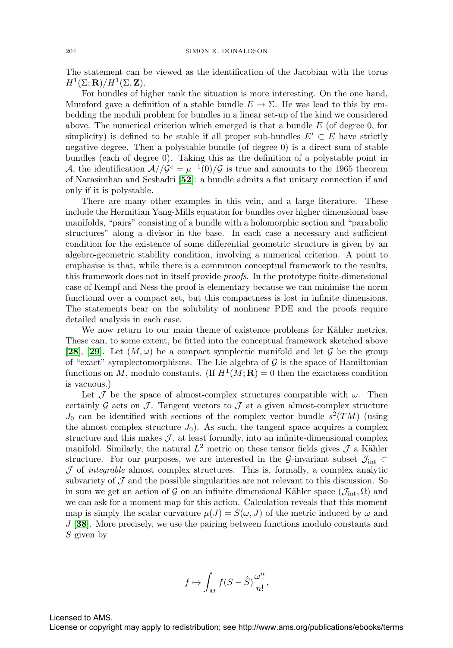The statement can be viewed as the identification of the Jacobian with the torus  $H^1(\Sigma; \mathbf{R})/H^1(\Sigma, \mathbf{Z}).$ 

For bundles of higher rank the situation is more interesting. On the one hand, Mumford gave a definition of a stable bundle  $E \to \Sigma$ . He was lead to this by embedding the moduli problem for bundles in a linear set-up of the kind we considered above. The numerical criterion which emerged is that a bundle  $E$  (of degree 0, for simplicity) is defined to be stable if all proper sub-bundles  $E' \subset E$  have strictly negative degree. Then a polystable bundle (of degree 0) is a direct sum of stable bundles (each of degree 0). Taking this as the definition of a polystable point in A, the identification  $A//\mathcal{G}^c = \mu^{-1}(0)/\mathcal{G}$  is true and amounts to the 1965 theorem of Narasimhan and Seshadri [**[52](#page-22-2)**]: a bundle admits a flat unitary connection if and only if it is polystable.

There are many other examples in this vein, and a large literature. These include the Hermitian Yang-Mills equation for bundles over higher dimensional base manifolds, "pairs" consisting of a bundle with a holomorphic section and "parabolic structures" along a divisor in the base. In each case a necessary and sufficient condition for the existence of some differential geometric structure is given by an algebro-geometric stability condition, involving a numerical criterion. A point to emphasise is that, while there is a commmon conceptual framework to the results, this framework does not in itself provide proofs. In the prototype finite-dimensional case of Kempf and Ness the proof is elementary because we can minimise the norm functional over a compact set, but this compactness is lost in infinite dimensions. The statements bear on the solubility of nonlinear PDE and the proofs require detailed analysis in each case.

We now return to our main theme of existence problems for Kähler metrics. These can, to some extent, be fitted into the conceptual framework sketched above [[28](#page-21-1)], [[29](#page-21-2)]. Let  $(M,\omega)$  be a compact symplectic manifold and let G be the group of "exact" symplectomorphisms. The Lie algebra of  $G$  is the space of Hamiltonian functions on M, modulo constants. (If  $H^1(M; \mathbf{R}) = 0$  then the exactness condition is vacuous.)

Let  $\mathcal J$  be the space of almost-complex structures compatible with  $\omega$ . Then certainly G acts on  $\mathcal J$ . Tangent vectors to  $\mathcal J$  at a given almost-complex structure  $J_0$  can be identified with sections of the complex vector bundle  $s^2(TM)$  (using the almost complex structure  $J_0$ ). As such, the tangent space acquires a complex structure and this makes  $J$ , at least formally, into an infinite-dimensional complex manifold. Similarly, the natural  $L^2$  metric on these tensor fields gives  $\mathcal J$  a Kähler structure. For our purposes, we are interested in the G-invariant subset  $\mathcal{J}_{int} \subset$  $J$  of *integrable* almost complex structures. This is, formally, a complex analytic subvariety of  $\mathcal J$  and the possible singularities are not relevant to this discussion. So in sum we get an action of G on an infinite dimensional Kähler space  $(\mathcal{J}_{int}, \Omega)$  and we can ask for a moment map for this action. Calculation reveals that this moment map is simply the scalar curvature  $\mu(J) = S(\omega, J)$  of the metric induced by  $\omega$  and J [**[38](#page-21-3)**]. More precisely, we use the pairing between functions modulo constants and  $S$  given by

$$
f\mapsto \int_M f(S-\hat{S})\frac{\omega^n}{n!},
$$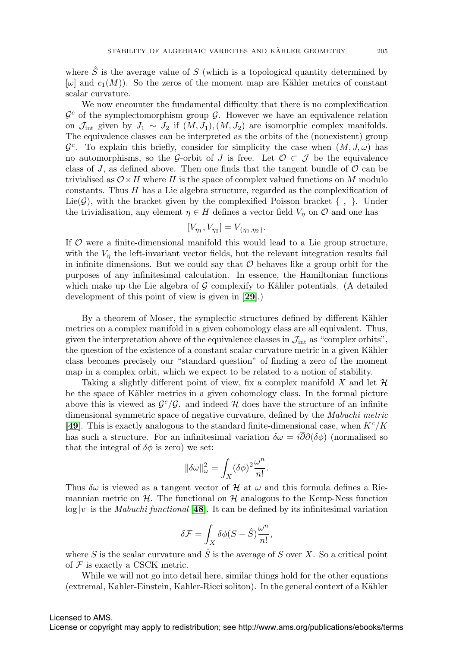where  $\hat{S}$  is the average value of S (which is a topological quantity determined by  $[\omega]$  and  $c_1(M)$ ). So the zeros of the moment map are Kähler metrics of constant scalar curvature.

We now encounter the fundamental difficulty that there is no complexification  $\mathcal{G}^c$  of the symplectomorphism group  $\mathcal{G}$ . However we have an equivalence relation on  $\mathcal{J}_{\text{int}}$  given by  $J_1 \sim J_2$  if  $(M, J_1), (M, J_2)$  are isomorphic complex manifolds. The equivalence classes can be interpreted as the orbits of the (nonexistent) group  $\mathcal{G}^c$ . To explain this briefly, consider for simplicity the case when  $(M, J, \omega)$  has no automorphisms, so the G-orbit of J is free. Let  $\mathcal{O}\subset\mathcal{J}$  be the equivalence class of J, as defined above. Then one finds that the tangent bundle of  $\mathcal O$  can be trivialised as  $\mathcal{O} \times H$  where H is the space of complex valued functions on M modulo constants. Thus  $H$  has a Lie algebra structure, regarded as the complexification of Lie( $\mathcal{G}$ ), with the bracket given by the complexified Poisson bracket  $\{ , \}$ . Under the trivialisation, any element  $\eta \in H$  defines a vector field  $V_{\eta}$  on  $\mathcal{O}$  and one has

$$
[V_{\eta_1}, V_{\eta_2}] = V_{\{\eta_1, \eta_2\}}.
$$

If  $\mathcal O$  were a finite-dimensional manifold this would lead to a Lie group structure, with the  $V_n$  the left-invariant vector fields, but the relevant integration results fail in infinite dimensions. But we could say that  $\mathcal O$  behaves like a group orbit for the purposes of any infinitesimal calculation. In essence, the Hamiltonian functions which make up the Lie algebra of  $G$  complexify to Kähler potentials. (A detailed development of this point of view is given in [**[29](#page-21-2)**].)

By a theorem of Moser, the symplectic structures defined by different Kähler metrics on a complex manifold in a given cohomology class are all equivalent. Thus, given the interpretation above of the equivalence classes in  $\mathcal{J}_{int}$  as "complex orbits", the question of the existence of a constant scalar curvature metric in a given Kähler class becomes precisely our "standard question" of finding a zero of the moment map in a complex orbit, which we expect to be related to a notion of stability.

Taking a slightly different point of view, fix a complex manifold X and let  $\mathcal H$ be the space of Kähler metrics in a given cohomology class. In the formal picture above this is viewed as  $\mathcal{G}^c/\mathcal{G}$ , and indeed H does have the structure of an infinite dimensional symmetric space of negative curvature, defined by the Mabuchi metric [[49](#page-22-3)]. This is exactly analogous to the standard finite-dimensional case, when  $K^c/K$ has such a structure. For an infinitesimal variation  $\delta \omega = i \overline{\partial} \partial (\delta \phi)$  (normalised so that the integral of  $\delta\phi$  is zero) we set:

$$
\|\delta\omega\|_\omega^2=\int_X(\delta\phi)^2\frac{\omega^n}{n!}.
$$

Thus  $\delta\omega$  is viewed as a tangent vector of H at  $\omega$  and this formula defines a Riemannian metric on  $H$ . The functional on  $H$  analogous to the Kemp-Ness function  $log |v|$  is the *Mabuchi functional* [[48](#page-21-4)]. It can be defined by its infinitesimal variation

$$
\delta \mathcal{F} = \int_X \delta \phi (S - \hat{S}) \frac{\omega^n}{n!},
$$

where  $S$  is the scalar curvature and  $S$  is the average of  $S$  over  $X$ . So a critical point of  $\mathcal F$  is exactly a CSCK metric.

While we will not go into detail here, similar things hold for the other equations (extremal, Kahler-Einstein, Kahler-Ricci soliton). In the general context of a Kähler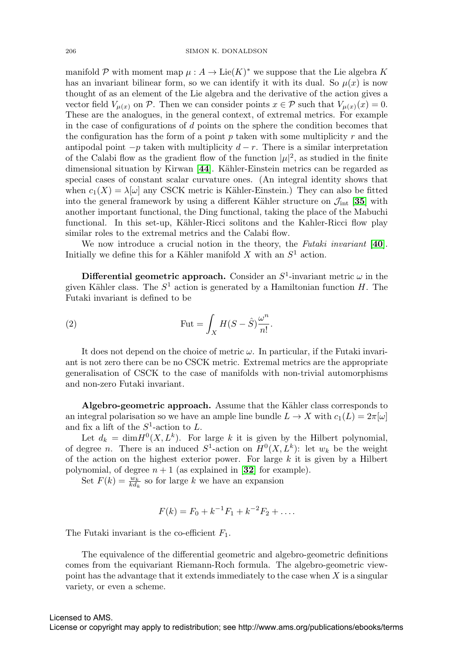manifold P with moment map  $\mu : A \to \text{Lie}(K)^*$  we suppose that the Lie algebra K has an invariant bilinear form, so we can identify it with its dual. So  $\mu(x)$  is now thought of as an element of the Lie algebra and the derivative of the action gives a vector field  $V_{\mu(x)}$  on P. Then we can consider points  $x \in \mathcal{P}$  such that  $V_{\mu(x)}(x) = 0$ . These are the analogues, in the general context, of extremal metrics. For example in the case of configurations of d points on the sphere the condition becomes that the configuration has the form of a point  $p$  taken with some multiplicity  $r$  and the antipodal point  $-p$  taken with multiplicity  $d-r$ . There is a similar interpretation of the Calabi flow as the gradient flow of the function  $|\mu|^2$ , as studied in the finite dimensional situation by Kirwan [[44](#page-21-5)]. Kähler-Einstein metrics can be regarded as special cases of constant scalar curvature ones. (An integral identity shows that when  $c_1(X) = \lambda[\omega]$  any CSCK metric is Kähler-Einstein.) They can also be fitted into the general framework by using a different Kähler structure on  $\mathcal{J}_{int}$  [[35](#page-21-6)] with another important functional, the Ding functional, taking the place of the Mabuchi functional. In this set-up, Kähler-Ricci solitons and the Kahler-Ricci flow play similar roles to the extremal metrics and the Calabi flow.

We now introduce a crucial notion in the theory, the Futaki invariant [**[40](#page-21-7)**]. Initially we define this for a Kähler manifold  $X$  with an  $S^1$  action.

**Differential geometric approach.** Consider an  $S^1$ -invariant metric  $\omega$  in the given Kähler class. The  $S^1$  action is generated by a Hamiltonian function H. The Futaki invariant is defined to be

(2) 
$$
\operatorname{Fut} = \int_X H(S - \hat{S}) \frac{\omega^n}{n!}.
$$

It does not depend on the choice of metric  $\omega$ . In particular, if the Futaki invariant is not zero there can be no CSCK metric. Extremal metrics are the appropriate generalisation of CSCK to the case of manifolds with non-trivial automorphisms and non-zero Futaki invariant.

**Algebro-geometric approach.** Assume that the Kähler class corresponds to an integral polarisation so we have an ample line bundle  $L \to X$  with  $c_1(L)=2\pi[\omega]$ and fix a lift of the  $S^1$ -action to L.

Let  $d_k = \dim H^0(X, L^k)$ . For large k it is given by the Hilbert polynomial, of degree *n*. There is an induced  $S^1$ -action on  $H^0(X, L^k)$ : let  $w_k$  be the weight of the action on the highest exterior power. For large  $k$  it is given by a Hilbert polynomial, of degree  $n + 1$  (as explained in [[32](#page-21-8)] for example).

Set  $F(k) = \frac{w_k}{k d_k}$  so for large k we have an expansion

$$
F(k) = F_0 + k^{-1}F_1 + k^{-2}F_2 + \dots
$$

The Futaki invariant is the co-efficient  $F_1$ .

The equivalence of the differential geometric and algebro-geometric definitions comes from the equivariant Riemann-Roch formula. The algebro-geometric viewpoint has the advantage that it extends immediately to the case when  $X$  is a singular variety, or even a scheme.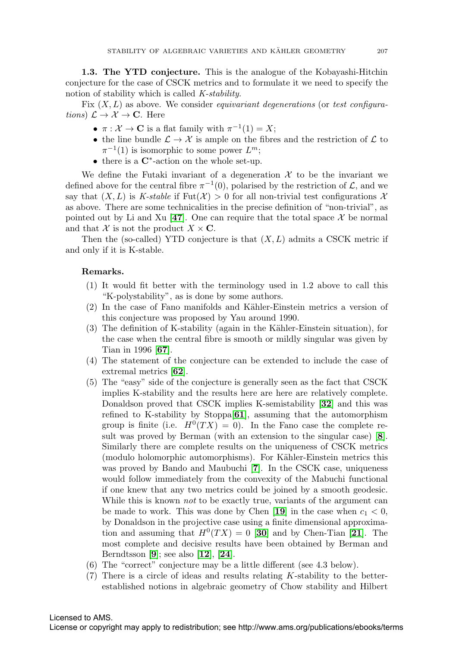**1.3. The YTD conjecture.** This is the analogue of the Kobayashi-Hitchin conjecture for the case of CSCK metrics and to formulate it we need to specify the notion of stability which is called K-stability.

Fix  $(X, L)$  as above. We consider *equivariant degenerations* (or test configurations)  $\mathcal{L} \to \mathcal{X} \to \mathbf{C}$ . Here

- $\pi : \mathcal{X} \to \mathbf{C}$  is a flat family with  $\pi^{-1}(1) = X$ ;
- the line bundle  $\mathcal{L} \to \mathcal{X}$  is ample on the fibres and the restriction of  $\mathcal{L}$  to  $\pi^{-1}(1)$  is isomorphic to some power  $L^m$ ;
- there is a **C**∗-action on the whole set-up.

We define the Futaki invariant of a degeneration  $\mathcal X$  to be the invariant we defined above for the central fibre  $\pi^{-1}(0)$ , polarised by the restriction of  $\mathcal{L}$ , and we say that  $(X, L)$  is K-stable if Fut $(\mathcal{X}) > 0$  for all non-trivial test configurations X as above. There are some technicalities in the precise definition of "non-trivial", as pointed out by Li and Xu [[47](#page-21-9)]. One can require that the total space  $\mathcal X$  be normal and that X is not the product  $X \times \mathbf{C}$ .

Then the (so-called) YTD conjecture is that  $(X, L)$  admits a CSCK metric if and only if it is K-stable.

### **Remarks.**

- (1) It would fit better with the terminology used in 1.2 above to call this "K-polystability", as is done by some authors.
- $(2)$  In the case of Fano manifolds and Kähler-Einstein metrics a version of this conjecture was proposed by Yau around 1990.
- $(3)$  The definition of K-stability (again in the Kähler-Einstein situation), for the case when the central fibre is smooth or mildly singular was given by Tian in 1996 [**[67](#page-22-4)**].
- (4) The statement of the conjecture can be extended to include the case of extremal metrics [**[62](#page-22-5)**].
- (5) The "easy" side of the conjecture is generally seen as the fact that CSCK implies K-stability and the results here are here are relatively complete. Donaldson proved that CSCK implies K-semistability [**[32](#page-21-8)**] and this was refined to K-stability by Stoppa[**[61](#page-22-6)**], assuming that the automorphism group is finite (i.e.  $H^0(TX) = 0$ ). In the Fano case the complete result was proved by Berman (with an extension to the singular case) [**[8](#page-20-2)**]. Similarly there are complete results on the uniqueness of CSCK metrics (modulo holomorphic automorphisms). For Kähler-Einstein metrics this was proved by Bando and Maubuchi [**[7](#page-20-3)**]. In the CSCK case, uniqueness would follow immediately from the convexity of the Mabuchi functional if one knew that any two metrics could be joined by a smooth geodesic. While this is known *not* to be exactly true, variants of the argument can be made to work. This was done by Chen [[19](#page-20-4)] in the case when  $c_1 < 0$ , by Donaldson in the projective case using a finite dimensional approximation and assuming that  $H^0(TX)=0$  [[30](#page-21-10)] and by Chen-Tian [[21](#page-21-11)]. The most complete and decisive results have been obtained by Berman and Berndtsson [**[9](#page-20-5)**]; see also [**[12](#page-20-6)**], [**[24](#page-21-12)**].
- (6) The "correct" conjecture may be a little different (see 4.3 below).
- (7) There is a circle of ideas and results relating K-stability to the betterestablished notions in algebraic geometry of Chow stability and Hilbert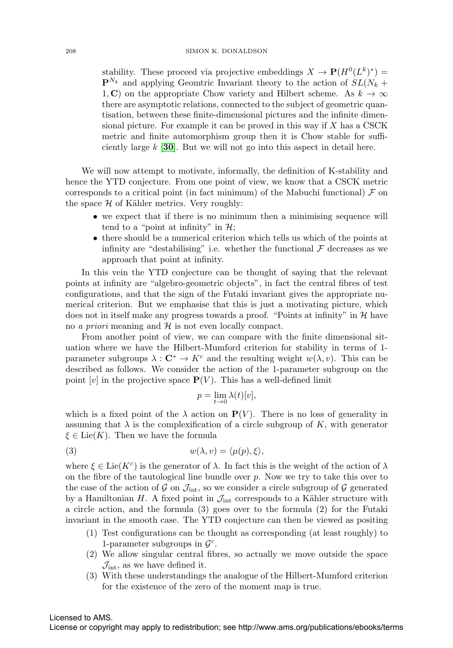stability. These proceed via projective embeddings  $X \to \mathbf{P}(H^0(L^k)^*)$  =  $\mathbf{P}^{N_k}$  and applying Geomtric Invariant theory to the action of  $SL(N_k +$ 1, **C**) on the appropriate Chow variety and Hilbert scheme. As  $k \to \infty$ there are asymptotic relations, connected to the subject of geometric quantisation, between these finite-dimensional pictures and the infinite dimensional picture. For example it can be proved in this way if  $X$  has a CSCK metric and finite automorphism group then it is Chow stable for sufficiently large k [**[30](#page-21-10)**]. But we will not go into this aspect in detail here.

We will now attempt to motivate, informally, the definition of K-stability and hence the YTD conjecture. From one point of view, we know that a CSCK metric corresponds to a critical point (in fact minimum) of the Mabuchi functional)  $\mathcal F$  on the space  $H$  of Kähler metrics. Very roughly:

- we expect that if there is no minimum then a minimising sequence will tend to a "point at infinity" in  $\mathcal{H}$ ;
- there should be a numerical criterion which tells us which of the points at infinity are "destabilising" i.e. whether the functional  $\mathcal F$  decreases as we approach that point at infinity.

In this vein the YTD conjecture can be thought of saying that the relevant points at infinity are "algebro-geometric objects", in fact the central fibres of test configurations, and that the sign of the Futaki invariant gives the appropriate numerical criterion. But we emphasise that this is just a motivating picture, which does not in itself make any progress towards a proof. "Points at infinity" in  $H$  have no *a priori* meaning and  $H$  is not even locally compact.

From another point of view, we can compare with the finite dimensional situation where we have the Hilbert-Mumford criterion for stability in terms of 1 parameter subgroups  $\lambda : \mathbb{C}^* \to K^c$  and the resulting weight  $w(\lambda, v)$ . This can be described as follows. We consider the action of the 1-parameter subgroup on the point  $[v]$  in the projective space  $P(V)$ . This has a well-defined limit

$$
p = \lim_{t \to 0} \lambda(t)[v],
$$

which is a fixed point of the  $\lambda$  action on  $P(V)$ . There is no loss of generality in assuming that  $\lambda$  is the complexification of a circle subgroup of K, with generator  $\xi \in \text{Lie}(K)$ . Then we have the formula

(3) 
$$
w(\lambda, v) = \langle \mu(p), \xi \rangle,
$$

where  $\xi \in \text{Lie}(K^c)$  is the generator of  $\lambda$ . In fact this is the weight of the action of  $\lambda$ on the fibre of the tautological line bundle over  $p$ . Now we try to take this over to the case of the action of  $\mathcal G$  on  $\mathcal J_{\text{int}}$ , so we consider a circle subgroup of  $\mathcal G$  generated by a Hamiltonian H. A fixed point in  $\mathcal{J}_{int}$  corresponds to a Kähler structure with a circle action, and the formula (3) goes over to the formula (2) for the Futaki invariant in the smooth case. The YTD conjecture can then be viewed as positing

- (1) Test configurations can be thought as corresponding (at least roughly) to 1-parameter subgroups in  $\mathcal{G}^c$ .
- (2) We allow singular central fibres, so actually we move outside the space  $\mathcal{J}_{\text{int}}$ , as we have defined it.
- (3) With these understandings the analogue of the Hilbert-Mumford criterion for the existence of the zero of the moment map is true.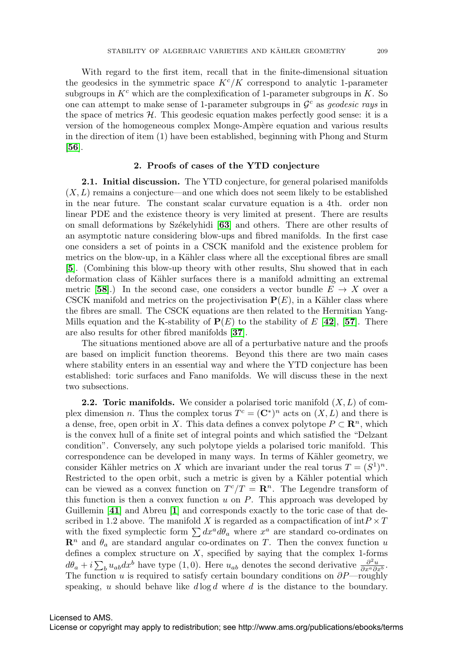With regard to the first item, recall that in the finite-dimensional situation the geodesics in the symmetric space  $K^{c}/K$  correspond to analytic 1-parameter subgroups in  $K<sup>c</sup>$  which are the complexification of 1-parameter subgroups in K. So one can attempt to make sense of 1-parameter subgroups in  $\mathcal{G}^c$  as *geodesic rays* in the space of metrics  $H$ . This geodesic equation makes perfectly good sense: it is a version of the homogeneous complex Monge-Ampère equation and various results in the direction of item (1) have been established, beginning with Phong and Sturm [**[56](#page-22-7)**].

### **2. Proofs of cases of the YTD conjecture**

**2.1. Initial discussion.** The YTD conjecture, for general polarised manifolds  $(X, L)$  remains a conjecture—and one which does not seem likely to be established in the near future. The constant scalar curvature equation is a 4th. order non linear PDE and the existence theory is very limited at present. There are results on small deformations by Sz´ekelyhidi [**[63](#page-22-8)**] and others. There are other results of an asymptotic nature considering blow-ups and fibred manifolds. In the first case one considers a set of points in a CSCK manifold and the existence problem for metrics on the blow-up, in a Kähler class where all the exceptional fibres are small [**[5](#page-20-7)**]. (Combining this blow-up theory with other results, Shu showed that in each deformation class of Kähler surfaces there is a manifold admitting an extremal metric [[58](#page-22-9)].) In the second case, one considers a vector bundle  $E \to X$  over a CSCK manifold and metrics on the projectivisation  $P(E)$ , in a Kähler class where the fibres are small. The CSCK equations are then related to the Hermitian Yang-Mills equation and the K-stability of  $P(E)$  to the stability of E [[42](#page-21-13)], [[57](#page-22-10)]. There are also results for other fibred manifolds [**[37](#page-21-14)**].

The situations mentioned above are all of a perturbative nature and the proofs are based on implicit function theorems. Beyond this there are two main cases where stability enters in an essential way and where the YTD conjecture has been established: toric surfaces and Fano manifolds. We will discuss these in the next two subsections.

**2.2.** Toric manifolds. We consider a polarised toric manifold  $(X, L)$  of complex dimension *n*. Thus the complex torus  $T^c = (\mathbb{C}^*)^n$  acts on  $(X, L)$  and there is a dense, free, open orbit in X. This data defines a convex polytope  $P \subset \mathbb{R}^n$ , which is the convex hull of a finite set of integral points and which satisfied the "Delzant condition". Conversely, any such polytope yields a polarised toric manifold. This correspondence can be developed in many ways. In terms of Kähler geometry, we consider Kähler metrics on X which are invariant under the real torus  $T = (S^1)^n$ . Restricted to the open orbit, such a metric is given by a Kähler potential which can be viewed as a convex function on  $T^{c}/T = \mathbb{R}^{n}$ . The Legendre transform of this function is then a convex function  $u$  on  $P$ . This approach was developed by Guillemin [**[41](#page-21-15)**] and Abreu [**[1](#page-20-8)**] and corresponds exactly to the toric case of that described in 1.2 above. The manifold X is regarded as a compactification of  $\mathrm{int}P \times T$ with the fixed symplectic form  $\sum dx^a d\theta_a$  where  $x^a$  are standard co-ordinates on  $\mathbb{R}^n$  and  $\theta_a$  are standard angular co-ordinates on T. Then the convex function u defines a complex structure on  $X$ , specified by saying that the complex 1-forms  $d\theta_a + i \sum_b u_{ab} dx^b$  have type (1,0). Here  $u_{ab}$  denotes the second derivative  $\frac{\partial^2 u}{\partial x^a \partial x^b}$ . The function u is required to satisfy certain boundary conditions on  $\partial P$ —roughly speaking, u should behave like  $d \log d$  where d is the distance to the boundary.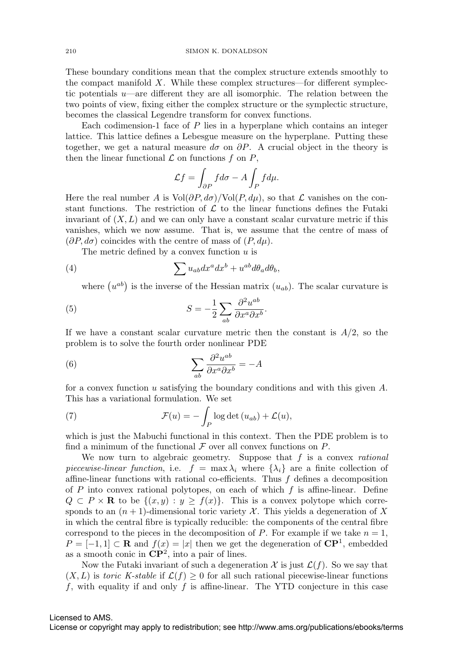These boundary conditions mean that the complex structure extends smoothly to the compact manifold  $X$ . While these complex structures—for different symplectic potentials  $u$ —are different they are all isomorphic. The relation between the two points of view, fixing either the complex structure or the symplectic structure, becomes the classical Legendre transform for convex functions.

Each codimension-1 face of  $P$  lies in a hyperplane which contains an integer lattice. This lattice defines a Lebesgue measure on the hyperplane. Putting these together, we get a natural measure  $d\sigma$  on  $\partial P$ . A crucial object in the theory is then the linear functional  $\mathcal L$  on functions f on  $P$ ,

$$
\mathcal{L}f = \int_{\partial P} f d\sigma - A \int_P f d\mu.
$$

Here the real number A is  $Vol(\partial P, d\sigma)/Vol(P, d\mu)$ , so that  $\mathcal L$  vanishes on the constant functions. The restriction of  $\mathcal L$  to the linear functions defines the Futaki invariant of  $(X, L)$  and we can only have a constant scalar curvature metric if this vanishes, which we now assume. That is, we assume that the centre of mass of  $(\partial P, d\sigma)$  coincides with the centre of mass of  $(P, d\mu)$ .

The metric defined by a convex function  $u$  is

(4) 
$$
\sum u_{ab} dx^a dx^b + u^{ab} d\theta_a d\theta_b,
$$

where  $(u^{ab})$  is the inverse of the Hessian matrix  $(u_{ab})$ . The scalar curvature is

(5) 
$$
S = -\frac{1}{2} \sum_{ab} \frac{\partial^2 u^{ab}}{\partial x^a \partial x^b}.
$$

If we have a constant scalar curvature metric then the constant is  $A/2$ , so the problem is to solve the fourth order nonlinear PDE

(6) 
$$
\sum_{ab} \frac{\partial^2 u^{ab}}{\partial x^a \partial x^b} = -A
$$

for a convex function u satisfying the boundary conditions and with this given A. This has a variational formulation. We set

(7) 
$$
\mathcal{F}(u) = -\int_P \log \det (u_{ab}) + \mathcal{L}(u),
$$

which is just the Mabuchi functional in this context. Then the PDE problem is to find a minimum of the functional  $\mathcal F$  over all convex functions on  $P$ .

We now turn to algebraic geometry. Suppose that  $f$  is a convex *rational* piecewise-linear function, i.e.  $f = \max \lambda_i$  where  $\{\lambda_i\}$  are a finite collection of affine-linear functions with rational co-efficients. Thus  $f$  defines a decomposition of P into convex rational polytopes, on each of which  $f$  is affine-linear. Define  $Q \subset P \times \mathbf{R}$  to be  $\{(x, y) : y \ge f(x)\}.$  This is a convex polytope which corresponds to an  $(n + 1)$ -dimensional toric variety X. This yields a degeneration of X in which the central fibre is typically reducible: the components of the central fibre correspond to the pieces in the decomposition of  $P$ . For example if we take  $n = 1$ ,  $P = [-1, 1] \subset \mathbf{R}$  and  $f(x) = |x|$  then we get the degeneration of  $\mathbf{CP}^1$ , embedded as a smooth conic in **CP**2, into a pair of lines.

Now the Futaki invariant of such a degeneration  $\mathcal X$  is just  $\mathcal L(f)$ . So we say that  $(X, L)$  is toric K-stable if  $\mathcal{L}(f) \geq 0$  for all such rational piecewise-linear functions f, with equality if and only f is affine-linear. The YTD conjecture in this case

#### Licensed to AMS.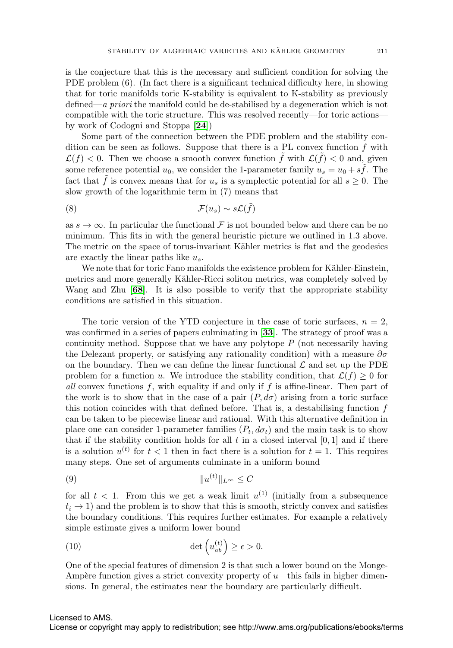is the conjecture that this is the necessary and sufficient condition for solving the PDE problem (6). (In fact there is a significant technical difficulty here, in showing that for toric manifolds toric K-stability is equivalent to K-stability as previously defined—a priori the manifold could be de-stabilised by a degeneration which is not compatible with the toric structure. This was resolved recently—for toric actions by work of Codogni and Stoppa [**[24](#page-21-12)**])

Some part of the connection between the PDE problem and the stability condition can be seen as follows. Suppose that there is a PL convex function  $f$  with  $\mathcal{L}(f) < 0$ . Then we choose a smooth convex function f with  $\mathcal{L}(f) < 0$  and, given some reference potential  $u_0$ , we consider the 1-parameter family  $u_s = u_0 + s \tilde{f}$ . The fact that  $\tilde{f}$  is convex means that for  $u_s$  is a symplectic potential for all  $s \geq 0$ . The slow growth of the logarithmic term in (7) means that

$$
(8) \t\t \mathcal{F}(u_s) \sim s\mathcal{L}(\tilde{f})
$$

as  $s \to \infty$ . In particular the functional F is not bounded below and there can be no minimum. This fits in with the general heuristic picture we outlined in 1.3 above. The metric on the space of torus-invariant Kähler metrics is flat and the geodesics are exactly the linear paths like  $u_s$ .

We note that for toric Fano manifolds the existence problem for Kähler-Einstein, metrics and more generally Kähler-Ricci soliton metrics, was completely solved by Wang and Zhu [**[68](#page-22-11)**]. It is also possible to verify that the appropriate stability conditions are satisfied in this situation.

The toric version of the YTD conjecture in the case of toric surfaces,  $n = 2$ , was confirmed in a series of papers culminating in [**[33](#page-21-16)**]. The strategy of proof was a continuity method. Suppose that we have any polytope  $P$  (not necessarily having the Delezant property, or satisfying any rationality condition) with a measure  $\partial \sigma$ on the boundary. Then we can define the linear functional  $\mathcal L$  and set up the PDE problem for a function u. We introduce the stability condition, that  $\mathcal{L}(f) \geq 0$  for all convex functions  $f$ , with equality if and only if  $f$  is affine-linear. Then part of the work is to show that in the case of a pair  $(P, d\sigma)$  arising from a toric surface this notion coincides with that defined before. That is, a destabilising function  $f$ can be taken to be piecewise linear and rational. With this alternative definition in place one can consider 1-parameter families  $(P_t, d\sigma_t)$  and the main task is to show that if the stability condition holds for all t in a closed interval  $[0, 1]$  and if there is a solution  $u^{(t)}$  for  $t < 1$  then in fact there is a solution for  $t = 1$ . This requires many steps. One set of arguments culminate in a uniform bound

(9) u(t) L<sup>∞</sup> ≤ C

for all  $t < 1$ . From this we get a weak limit  $u^{(1)}$  (initially from a subsequence  $t_i \rightarrow 1$ ) and the problem is to show that this is smooth, strictly convex and satisfies the boundary conditions. This requires further estimates. For example a relatively simple estimate gives a uniform lower bound

(10) 
$$
\det\left(u_{ab}^{(t)}\right) \geq \epsilon > 0.
$$

One of the special features of dimension 2 is that such a lower bound on the Monge-Ampère function gives a strict convexity property of  $u$ —this fails in higher dimensions. In general, the estimates near the boundary are particularly difficult.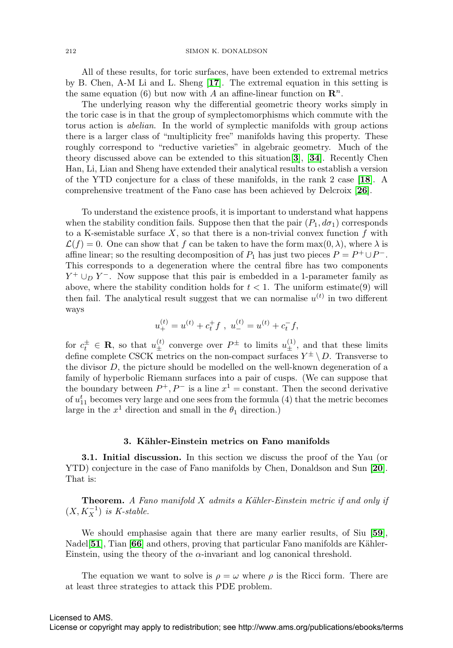All of these results, for toric surfaces, have been extended to extremal metrics by B. Chen, A-M Li and L. Sheng [**[17](#page-20-9)**]. The extremal equation in this setting is the same equation (6) but now with A an affine-linear function on  $\mathbb{R}^n$ .

The underlying reason why the differential geometric theory works simply in the toric case is in that the group of symplectomorphisms which commute with the torus action is abelian. In the world of symplectic manifolds with group actions there is a larger class of "multiplicity free" manifolds having this property. These roughly correspond to "reductive varieties" in algebraic geometry. Much of the theory discussed above can be extended to this situation[**[3](#page-20-10)**], [**[34](#page-21-17)**]. Recently Chen Han, Li, Lian and Sheng have extended their analytical results to establish a version of the YTD conjecture for a class of these manifolds, in the rank 2 case [**[18](#page-20-11)**]. A comprehensive treatment of the Fano case has been achieved by Delcroix [**[26](#page-21-18)**].

To understand the existence proofs, it is important to understand what happens when the stability condition fails. Suppose then that the pair  $(P_1, d\sigma_1)$  corresponds to a K-semistable surface  $X$ , so that there is a non-trivial convex function  $f$  with  $\mathcal{L}(f) = 0$ . One can show that f can be taken to have the form  $\max(0, \lambda)$ , where  $\lambda$  is affine linear; so the resulting decomposition of  $P_1$  has just two pieces  $P = P^+ \cup P^-$ . This corresponds to a degeneration where the central fibre has two components  $Y^+ \cup_D Y^-$ . Now suppose that this pair is embedded in a 1-parameter family as above, where the stability condition holds for  $t < 1$ . The uniform estimate(9) will then fail. The analytical result suggest that we can normalise  $u^{(t)}$  in two different ways

$$
u_{+}^{(t)} = u^{(t)} + c_{t}^{+} f , u_{-}^{(t)} = u^{(t)} + c_{t}^{-} f,
$$

for  $c_t^{\pm} \in \mathbf{R}$ , so that  $u_{\pm}^{(t)}$  converge over  $P^{\pm}$  to limits  $u_{\pm}^{(1)}$ , and that these limits define complete CSCK metrics on the non-compact surfaces  $Y^{\pm} \setminus D$ . Transverse to the divisor D, the picture should be modelled on the well-known degeneration of a family of hyperbolic Riemann surfaces into a pair of cusps. (We can suppose that the boundary between  $P^+, P^-$  is a line  $x^1 = \text{constant}$ . Then the second derivative of  $u_{11}^t$  becomes very large and one sees from the formula (4) that the metric becomes large in the  $x^1$  direction and small in the  $\theta_1$  direction.)

#### **3. K¨ahler-Einstein metrics on Fano manifolds**

**3.1. Initial discussion.** In this section we discuss the proof of the Yau (or YTD) conjecture in the case of Fano manifolds by Chen, Donaldson and Sun [**[20](#page-20-12)**]. That is:

**Theorem.** A Fano manifold X admits a Kähler-Einstein metric if and only if  $(X, K_X^{-1})$  is K-stable.

We should emphasise again that there are many earlier results, of Siu [**[59](#page-22-12)**], Nadel<sup>[[51](#page-22-13)]</sup>, Tian [[66](#page-22-14)] and others, proving that particular Fano manifolds are Kähler-Einstein, using the theory of the  $\alpha$ -invariant and log canonical threshold.

The equation we want to solve is  $\rho = \omega$  where  $\rho$  is the Ricci form. There are at least three strategies to attack this PDE problem.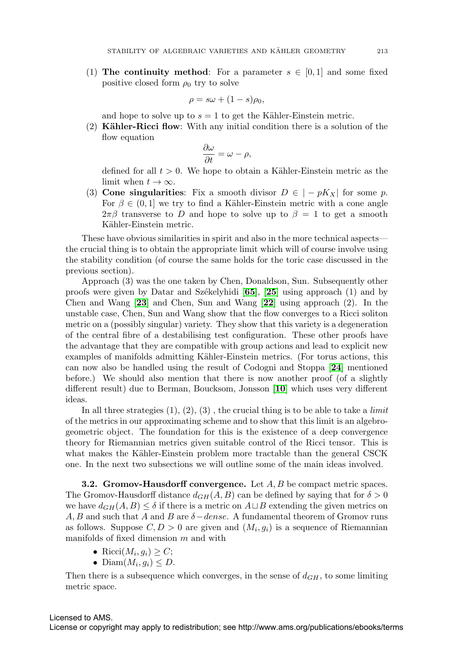(1) **The continuity method**: For a parameter  $s \in [0,1]$  and some fixed positive closed form  $\rho_0$  try to solve

$$
\rho = s\omega + (1 - s)\rho_0,
$$

and hope to solve up to  $s = 1$  to get the Kähler-Einstein metric.

(2) **Kähler-Ricci flow**: With any initial condition there is a solution of the flow equation

$$
\frac{\partial \omega}{\partial t} = \omega - \rho,
$$

defined for all  $t > 0$ . We hope to obtain a Kähler-Einstein metric as the limit when  $t \to \infty$ .

(3) **Cone singularities**: Fix a smooth divisor  $D \in |-pK_X|$  for some p. For  $\beta \in (0,1]$  we try to find a Kähler-Einstein metric with a cone angle  $2\pi\beta$  transverse to D and hope to solve up to  $\beta = 1$  to get a smooth Kähler-Einstein metric.

These have obvious similarities in spirit and also in the more technical aspects the crucial thing is to obtain the appropriate limit which will of course involve using the stability condition (of course the same holds for the toric case discussed in the previous section).

Approach (3) was the one taken by Chen, Donaldson, Sun. Subsequently other proofs were given by Datar and Sz $\acute{e}$ kelyhidi  $\begin{bmatrix} 65 \\ 0.5 \end{bmatrix}$  $\begin{bmatrix} 65 \\ 0.5 \end{bmatrix}$  $\begin{bmatrix} 65 \\ 0.5 \end{bmatrix}$ ,  $\begin{bmatrix} 25 \\ 25 \end{bmatrix}$  $\begin{bmatrix} 25 \\ 25 \end{bmatrix}$  $\begin{bmatrix} 25 \\ 25 \end{bmatrix}$  using approach (1) and by Chen and Wang [**[23](#page-21-20)**] and Chen, Sun and Wang [**[22](#page-21-21)**] using approach (2). In the unstable case, Chen, Sun and Wang show that the flow converges to a Ricci soliton metric on a (possibly singular) variety. They show that this variety is a degeneration of the central fibre of a destabilising test configuration. These other proofs have the advantage that they are compatible with group actions and lead to explicit new examples of manifolds admitting Kähler-Einstein metrics. (For torus actions, this can now also be handled using the result of Codogni and Stoppa [**[24](#page-21-12)**] mentioned before.) We should also mention that there is now another proof (of a slightly different result) due to Berman, Boucksom, Jonsson [**[10](#page-20-13)**] which uses very different ideas.

In all three strategies  $(1), (2), (3)$ , the crucial thing is to be able to take a *limit* of the metrics in our approximating scheme and to show that this limit is an algebrogeometric object. The foundation for this is the existence of a deep convergence theory for Riemannian metrics given suitable control of the Ricci tensor. This is what makes the Kähler-Einstein problem more tractable than the general CSCK one. In the next two subsections we will outline some of the main ideas involved.

**3.2. Gromov-Hausdorff convergence.** Let A, B be compact metric spaces. The Gromov-Hausdorff distance  $d_{GH}(A, B)$  can be defined by saying that for  $\delta > 0$ we have  $d_{GH}(A, B) \leq \delta$  if there is a metric on  $A \sqcup B$  extending the given metrics on A, B and such that A and B are  $\delta$  – dense. A fundamental theorem of Gromov runs as follows. Suppose  $C, D > 0$  are given and  $(M_i, g_i)$  is a sequence of Riemannian manifolds of fixed dimension m and with

- Ricci $(M_i, q_i) \geq C$ ;
- Diam $(M_i, q_i) \leq D$ .

Then there is a subsequence which converges, in the sense of  $d_{GH}$ , to some limiting metric space.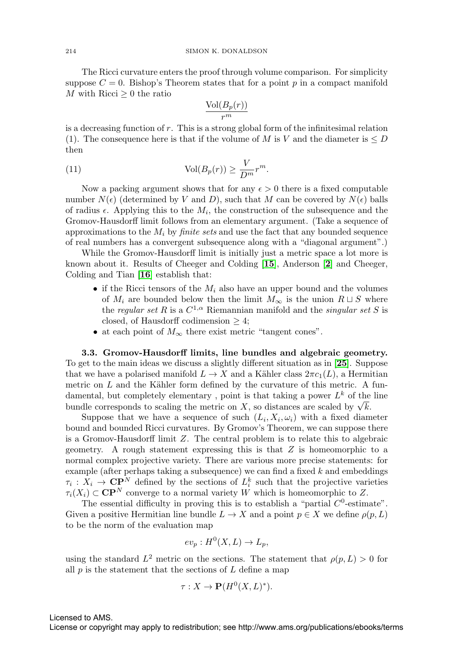The Ricci curvature enters the proof through volume comparison. For simplicity suppose  $C = 0$ . Bishop's Theorem states that for a point p in a compact manifold M with Ricci  $\geq 0$  the ratio

$$
\frac{\text{Vol}(B_p(r))}{r^m}
$$

is a decreasing function of r. This is a strong global form of the infinitesimal relation (1). The consequence here is that if the volume of M is V and the diameter is  $\leq D$ then

(11) 
$$
\text{Vol}(B_p(r)) \ge \frac{V}{D^m}r^m.
$$

Now a packing argument shows that for any  $\epsilon > 0$  there is a fixed computable number  $N(\epsilon)$  (determined by V and D), such that M can be covered by  $N(\epsilon)$  balls of radius  $\epsilon$ . Applying this to the  $M_i$ , the construction of the subsequence and the Gromov-Hausdorff limit follows from an elementary argument. (Take a sequence of approximations to the  $M_i$  by *finite sets* and use the fact that any bounded sequence of real numbers has a convergent subsequence along with a "diagonal argument".)

While the Gromov-Hausdorff limit is initially just a metric space a lot more is known about it. Results of Cheeger and Colding [**[15](#page-20-14)**], Anderson [**[2](#page-20-15)**] and Cheeger, Colding and Tian [**[16](#page-20-16)**] establish that:

- if the Ricci tensors of the  $M_i$  also have an upper bound and the volumes of  $M_i$  are bounded below then the limit  $M_{\infty}$  is the union  $R \sqcup S$  where the regular set R is a  $C^{1,\alpha}$  Riemannian manifold and the *singular set S* is closed, of Hausdorff codimension  $\geq 4$ ;
- at each point of  $M_{\infty}$  there exist metric "tangent cones".

**3.3. Gromov-Hausdorff limits, line bundles and algebraic geometry.** To get to the main ideas we discuss a slightly different situation as in [**[25](#page-21-19)**]. Suppose that we have a polarised manifold  $L \to X$  and a Kähler class  $2\pi c_1(L)$ , a Hermitian metric on  $L$  and the Kähler form defined by the curvature of this metric. A fundamental, but completely elementary, point is that taking a power  $L^k$  of the line damental, but completely elementary, point is that taking a power  $L^{\sim}$  of the bundle corresponds to scaling the metric on X, so distances are scaled by  $\sqrt{k}$ .

Suppose that we have a sequence of such  $(L_i, X_i, \omega_i)$  with a fixed diameter bound and bounded Ricci curvatures. By Gromov's Theorem, we can suppose there is a Gromov-Hausdorff limit Z. The central problem is to relate this to algebraic geometry. A rough statement expressing this is that  $Z$  is homeomorphic to a normal complex projective variety. There are various more precise statements: for example (after perhaps taking a subsequence) we can find a fixed  $k$  and embeddings  $\tau_i: X_i \to \mathbf{CP}^N$  defined by the sections of  $L_i^k$  such that the projective varieties  $\tau_i(X_i) \subset \mathbf{CP}^N$  converge to a normal variety W which is homeomorphic to Z.

The essential difficulty in proving this is to establish a "partial  $C^0$ -estimate". Given a positive Hermitian line bundle  $L \to X$  and a point  $p \in X$  we define  $p(p, L)$ to be the norm of the evaluation map

$$
ev_p: H^0(X, L) \to L_p,
$$

using the standard  $L^2$  metric on the sections. The statement that  $\rho(p, L) > 0$  for all  $p$  is the statement that the sections of  $L$  define a map

$$
\tau: X \to \mathbf{P}(H^0(X, L)^*).
$$

Licensed to AMS.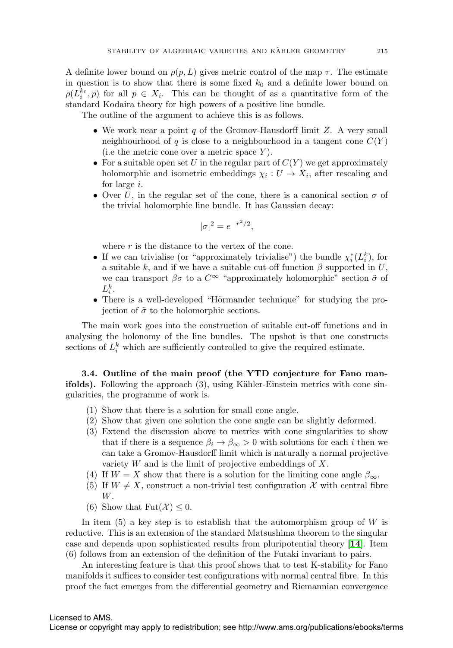A definite lower bound on  $\rho(p, L)$  gives metric control of the map  $\tau$ . The estimate in question is to show that there is some fixed  $k_0$  and a definite lower bound on  $\rho(L_i^{k_0}, p)$  for all  $p \in X_i$ . This can be thought of as a quantitative form of the standard Kodaira theory for high powers of a positive line bundle.

The outline of the argument to achieve this is as follows.

- We work near a point  $q$  of the Gromov-Hausdorff limit  $Z$ . A very small neighbourhood of q is close to a neighbourhood in a tangent cone  $C(Y)$ (i.e the metric cone over a metric space  $Y$ ).
- For a suitable open set U in the regular part of  $C(Y)$  we get approximately holomorphic and isometric embeddings  $\chi_i : U \to X_i$ , after rescaling and for large i.
- Over U, in the regular set of the cone, there is a canonical section  $\sigma$  of the trivial holomorphic line bundle. It has Gaussian decay:

$$
|\sigma|^2 = e^{-r^2/2},
$$

where  $r$  is the distance to the vertex of the cone.

- If we can trivialise (or "approximately trivialise") the bundle  $\chi_i^*(L_i^k)$ , for a suitable k, and if we have a suitable cut-off function  $\beta$  supported in U, we can transport  $\beta\sigma$  to a  $C^{\infty}$  "approximately holomorphic" section  $\tilde{\sigma}$  of  $L_i^k$ .
- There is a well-developed "Hörmander technique" for studying the projection of  $\tilde{\sigma}$  to the holomorphic sections.

The main work goes into the construction of suitable cut-off functions and in analysing the holonomy of the line bundles. The upshot is that one constructs sections of  $L_i^k$  which are sufficiently controlled to give the required estimate.

**3.4. Outline of the main proof (the YTD conjecture for Fano manifolds).** Following the approach (3), using Kähler-Einstein metrics with cone singularities, the programme of work is.

- (1) Show that there is a solution for small cone angle.
- (2) Show that given one solution the cone angle can be slightly deformed.
- (3) Extend the discussion above to metrics with cone singularities to show that if there is a sequence  $\beta_i \to \beta_\infty > 0$  with solutions for each *i* then we can take a Gromov-Hausdorff limit which is naturally a normal projective variety  $W$  and is the limit of projective embeddings of  $X$ .
- (4) If  $W = X$  show that there is a solution for the limiting cone angle  $\beta_{\infty}$ .
- (5) If  $W \neq X$ , construct a non-trivial test configuration X with central fibre W.
- (6) Show that  $Fut(\mathcal{X}) \leq 0$ .

In item  $(5)$  a key step is to establish that the automorphism group of W is reductive. This is an extension of the standard Matsushima theorem to the singular case and depends upon sophisticated results from pluripotential theory [**[14](#page-20-17)**]. Item (6) follows from an extension of the definition of the Futaki invariant to pairs.

An interesting feature is that this proof shows that to test K-stability for Fano manifolds it suffices to consider test configurations with normal central fibre. In this proof the fact emerges from the differential geometry and Riemannian convergence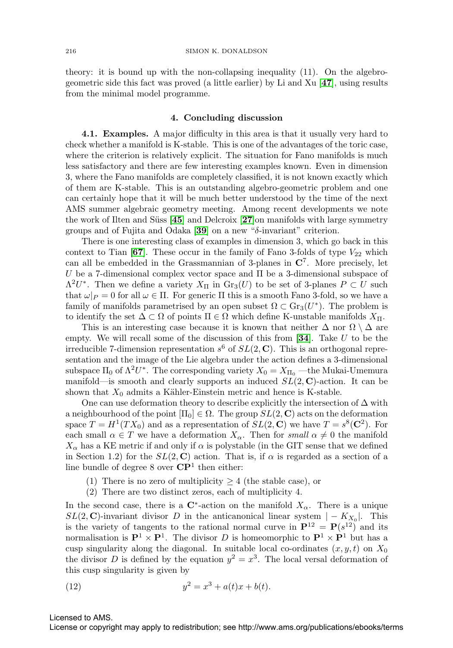theory: it is bound up with the non-collapsing inequality (11). On the algebrogeometric side this fact was proved (a little earlier) by Li and Xu [**[47](#page-21-9)**], using results from the minimal model programme.

#### **4. Concluding discussion**

**4.1. Examples.** A major difficulty in this area is that it usually very hard to check whether a manifold is K-stable. This is one of the advantages of the toric case, where the criterion is relatively explicit. The situation for Fano manifolds is much less satisfactory and there are few interesting examples known. Even in dimension 3, where the Fano manifolds are completely classified, it is not known exactly which of them are K-stable. This is an outstanding algebro-geometric problem and one can certainly hope that it will be much better understood by the time of the next AMS summer algebraic geometry meeting. Among recent developments we note the work of Ilten and Süss [[45](#page-21-22)] and Delcroix [[27](#page-21-23)]on manifolds with large symmetry groups and of Fujita and Odaka [**[39](#page-21-24)**] on a new "δ-invariant" criterion.

There is one interesting class of examples in dimension 3, which go back in this context to Tian  $[67]$  $[67]$  $[67]$ . These occur in the family of Fano 3-folds of type  $V_{22}$  which can all be embedded in the Grassmannian of 3-planes in **C**7. More precisely, let U be a 7-dimensional complex vector space and  $\Pi$  be a 3-dimensional subspace of  $\Lambda^2 U^*$ . Then we define a variety  $X_{\Pi}$  in  $\text{Gr}_3(U)$  to be set of 3-planes  $P \subset U$  such that  $\omega|_P = 0$  for all  $\omega \in \Pi$ . For generic  $\Pi$  this is a smooth Fano 3-fold, so we have a family of manifolds parametrised by an open subset  $\Omega \subset \text{Gr}_3(U^*)$ . The problem is to identify the set  $\Delta \subset \Omega$  of points  $\Pi \in \Omega$  which define K-unstable manifolds  $X_{\Pi}$ .

This is an interesting case because it is known that neither  $\Delta$  nor  $\Omega \setminus \Delta$  are empty. We will recall some of the discussion of this from [**[34](#page-21-17)**]. Take U to be the irreducible 7-dimension representation  $s^6$  of  $SL(2, \mathbb{C})$ . This is an orthogonal representation and the image of the Lie algebra under the action defines a 3-dimensional subspace  $\Pi_0$  of  $\Lambda^2 U^*$ . The corresponding variety  $X_0 = X_{\Pi_0}$  —the Mukai-Umemura manifold—is smooth and clearly supports an induced  $SL(2, \mathbb{C})$ -action. It can be shown that  $X_0$  admits a Kähler-Einstein metric and hence is K-stable.

One can use deformation theory to describe explicitly the intersection of  $\Delta$  with a neighbourhood of the point  $[\Pi_0] \in \Omega$ . The group  $SL(2, \mathbb{C})$  acts on the deformation space  $T = H^1(TX_0)$  and as a representation of  $SL(2, \mathbb{C})$  we have  $T = s^8(\mathbb{C}^2)$ . For each small  $\alpha \in T$  we have a deformation  $X_{\alpha}$ . Then for small  $\alpha \neq 0$  the manifold  $X_{\alpha}$  has a KE metric if and only if  $\alpha$  is polystable (in the GIT sense that we defined in Section 1.2) for the  $SL(2, \mathbb{C})$  action. That is, if  $\alpha$  is regarded as a section of a line bundle of degree 8 over **CP**<sup>1</sup> then either:

- (1) There is no zero of multiplicity  $\geq 4$  (the stable case), or
- (2) There are two distinct zeros, each of multiplicity 4.

In the second case, there is a  $\mathbb{C}^*$ -action on the manifold  $X_\alpha$ . There is a unique  $SL(2, \mathbb{C})$ -invariant divisor D in the anticanonical linear system  $|-K_{X_0}|$ . This is the variety of tangents to the rational normal curve in  $\mathbf{P}^{12} = \mathbf{P}(s^{12})$  and its normalisation is  $\mathbf{P}^1 \times \mathbf{P}^1$ . The divisor D is homeomorphic to  $\mathbf{P}^1 \times \mathbf{P}^1$  but has a cusp singularity along the diagonal. In suitable local co-ordinates  $(x, y, t)$  on  $X_0$ the divisor D is defined by the equation  $y^2 = x^3$ . The local versal deformation of this cusp singularity is given by

(12) 
$$
y^2 = x^3 + a(t)x + b(t).
$$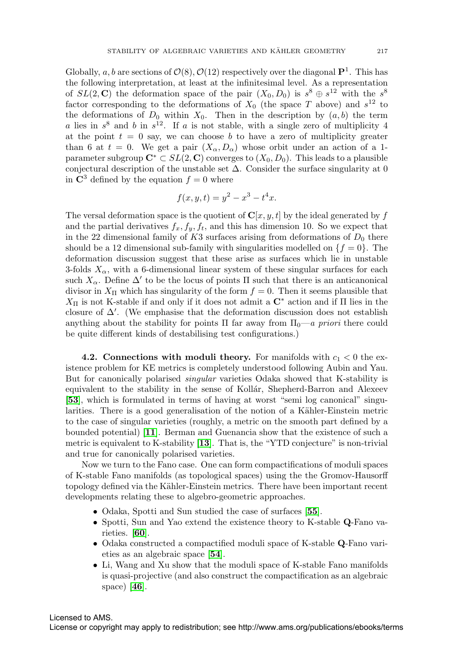Globally, a, b are sections of  $\mathcal{O}(8)$ ,  $\mathcal{O}(12)$  respectively over the diagonal  $\mathbf{P}^1$ . This has the following interpretation, at least at the infinitesimal level. As a representation of  $SL(2, \mathbb{C})$  the deformation space of the pair  $(X_0, D_0)$  is  $s^8 \oplus s^{12}$  with the  $s^8$ factor corresponding to the deformations of  $X_0$  (the space T above) and  $s^{12}$  to the deformations of  $D_0$  within  $X_0$ . Then in the description by  $(a, b)$  the term a lies in  $s^8$  and b in  $s^{12}$ . If a is not stable, with a single zero of multiplicity 4 at the point  $t = 0$  say, we can choose b to have a zero of multiplicity greater than 6 at  $t = 0$ . We get a pair  $(X_{\alpha}, D_{\alpha})$  whose orbit under an action of a 1parameter subgroup  $\mathbb{C}^* \subset SL(2, \mathbb{C})$  converges to  $(X_0, D_0)$ . This leads to a plausible conjectural description of the unstable set  $\Delta$ . Consider the surface singularity at 0 in  $\mathbb{C}^3$  defined by the equation  $f = 0$  where

$$
f(x, y, t) = y^2 - x^3 - t^4 x.
$$

The versal deformation space is the quotient of  $\mathbf{C}[x, y, t]$  by the ideal generated by f and the partial derivatives  $f_x, f_y, f_t$ , and this has dimension 10. So we expect that in the 22 dimensional family of  $K3$  surfaces arising from deformations of  $D_0$  there should be a 12 dimensional sub-family with singularities modelled on  $\{f = 0\}$ . The deformation discussion suggest that these arise as surfaces which lie in unstable 3-folds  $X_{\alpha}$ , with a 6-dimensional linear system of these singular surfaces for each such  $X_\alpha$ . Define  $\Delta'$  to be the locus of points II such that there is an anticanonical divisor in  $X_{\Pi}$  which has singularity of the form  $f = 0$ . Then it seems plausible that X<sup>Π</sup> is not K-stable if and only if it does not admit a **C**<sup>∗</sup> action and if Π lies in the closure of  $\Delta'$ . (We emphasise that the deformation discussion does not establish anything about the stability for points  $\Pi$  far away from  $\Pi_0-a$  priori there could be quite different kinds of destabilising test configurations.)

**4.2. Connections with moduli theory.** For manifolds with  $c_1 < 0$  the existence problem for KE metrics is completely understood following Aubin and Yau. But for canonically polarised singular varieties Odaka showed that K-stability is equivalent to the stability in the sense of Kollár, Shepherd-Barron and Alexeev [**[53](#page-22-16)**], which is formulated in terms of having at worst "semi log canonical" singularities. There is a good generalisation of the notion of a Kähler-Einstein metric to the case of singular varieties (roughly, a metric on the smooth part defined by a bounded potential) [**[11](#page-20-18)**]. Berman and Guenancia show that the existence of such a metric is equivalent to K-stability [**[13](#page-20-19)**]. That is, the "YTD conjecture" is non-trivial and true for canonically polarised varieties.

Now we turn to the Fano case. One can form compactifications of moduli spaces of K-stable Fano manifolds (as topological spaces) using the the Gromov-Hausorff topology defined via the Kähler-Einstein metrics. There have been important recent developments relating these to algebro-geometric approaches.

- Odaka, Spotti and Sun studied the case of surfaces [**[55](#page-22-17)**].
- Spotti, Sun and Yao extend the existence theory to K-stable **Q**-Fano varieties. [**[60](#page-22-18)**].
- Odaka constructed a compactified moduli space of K-stable **Q**-Fano varieties as an algebraic space [**[54](#page-22-19)**].
- Li, Wang and Xu show that the moduli space of K-stable Fano manifolds is quasi-projective (and also construct the compactification as an algebraic space) [**[46](#page-21-25)**].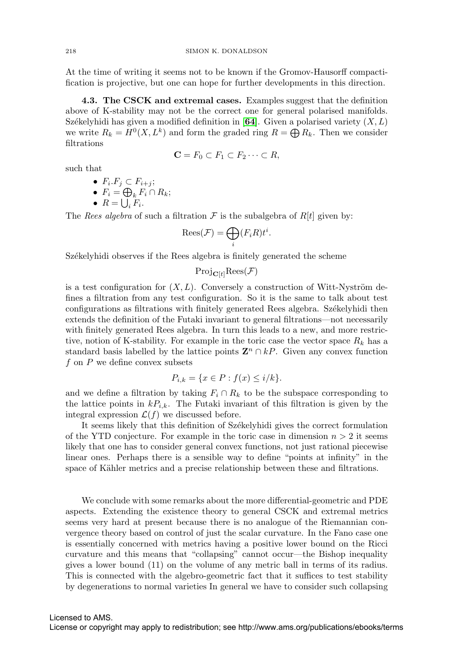At the time of writing it seems not to be known if the Gromov-Hausorff compactification is projective, but one can hope for further developments in this direction.

**4.3. The CSCK and extremal cases.** Examples suggest that the definition above of K-stability may not be the correct one for general polarised manifolds. Székelyhidi has given a modified definition in  $[64]$  $[64]$  $[64]$ . Given a polarised variety  $(X, L)$ we write  $R_k = H^0(X, L^k)$  and form the graded ring  $R = \bigoplus R_k$ . Then we consider filtrations

$$
\mathbf{C} = F_0 \subset F_1 \subset F_2 \cdots \subset R,
$$

such that

\n- $$
F_i.F_j \subset F_{i+j};
$$
\n- $F_i = \bigoplus_k F_i \cap R_k;$
\n- $R = \bigcup_i F_i.$
\n

The Rees algebra of such a filtration  $\mathcal F$  is the subalgebra of R[t] given by:

$$
\text{Rees}(\mathcal{F}) = \bigoplus_{i} (F_i R) t^i.
$$

Székelyhidi observes if the Rees algebra is finitely generated the scheme

 $Proj_{\mathbf{C}[t]}Res(\mathcal{F})$ 

is a test configuration for  $(X, L)$ . Conversely a construction of Witt-Nyström defines a filtration from any test configuration. So it is the same to talk about test configurations as filtrations with finitely generated Rees algebra. Székelyhidi then extends the definition of the Futaki invariant to general filtrations—not necessarily with finitely generated Rees algebra. In turn this leads to a new, and more restrictive, notion of K-stability. For example in the toric case the vector space  $R_k$  has a standard basis labelled by the lattice points  $\mathbf{Z}^n \cap kP$ . Given any convex function  $f$  on  $P$  we define convex subsets

$$
P_{i,k} = \{ x \in P : f(x) \le i/k \}.
$$

and we define a filtration by taking  $F_i \cap R_k$  to be the subspace corresponding to the lattice points in  $kP_{i,k}$ . The Futaki invariant of this filtration is given by the integral expression  $\mathcal{L}(f)$  we discussed before.

It seems likely that this definition of Székelyhidi gives the correct formulation of the YTD conjecture. For example in the toric case in dimension  $n > 2$  it seems likely that one has to consider general convex functions, not just rational piecewise linear ones. Perhaps there is a sensible way to define "points at infinity" in the space of Kähler metrics and a precise relationship between these and filtrations.

We conclude with some remarks about the more differential-geometric and PDE aspects. Extending the existence theory to general CSCK and extremal metrics seems very hard at present because there is no analogue of the Riemannian convergence theory based on control of just the scalar curvature. In the Fano case one is essentially concerned with metrics having a positive lower bound on the Ricci curvature and this means that "collapsing" cannot occur—the Bishop inequality gives a lower bound (11) on the volume of any metric ball in terms of its radius. This is connected with the algebro-geometric fact that it suffices to test stability by degenerations to normal varieties In general we have to consider such collapsing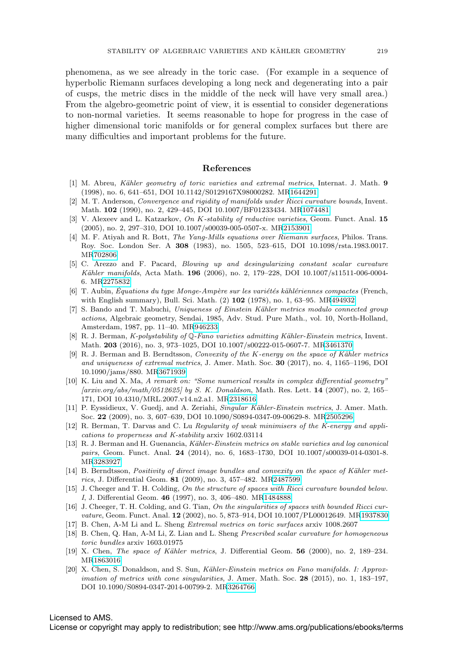phenomena, as we see already in the toric case. (For example in a sequence of hyperbolic Riemann surfaces developing a long neck and degenerating into a pair of cusps, the metric discs in the middle of the neck will have very small area.) From the algebro-geometric point of view, it is essential to consider degenerations to non-normal varieties. It seems reasonable to hope for progress in the case of higher dimensional toric manifolds or for general complex surfaces but there are many difficulties and important problems for the future.

### **References**

- <span id="page-20-8"></span>[1] M. Abreu, K¨ahler geometry of toric varieties and extremal metrics, Internat. J. Math. **9** (1998), no. 6, 641–651, DOI 10.1142/S0129167X98000282. M[R1644291](http://www.ams.org/mathscinet-getitem?mr=1644291)
- <span id="page-20-15"></span>[2] M. T. Anderson, Convergence and rigidity of manifolds under Ricci curvature bounds, Invent. Math. **102** (1990), no. 2, 429–445, DOI 10.1007/BF01233434. M[R1074481](http://www.ams.org/mathscinet-getitem?mr=1074481)
- <span id="page-20-10"></span>[3] V. Alexeev and L. Katzarkov, On K-stability of reductive varieties, Geom. Funct. Anal. **15** (2005), no. 2, 297–310, DOI 10.1007/s00039-005-0507-x. M[R2153901](http://www.ams.org/mathscinet-getitem?mr=2153901)
- <span id="page-20-1"></span>[4] M. F. Atiyah and R. Bott, The Yang-Mills equations over Riemann surfaces, Philos. Trans. Roy. Soc. London Ser. A **308** (1983), no. 1505, 523–615, DOI 10.1098/rsta.1983.0017. M[R702806](http://www.ams.org/mathscinet-getitem?mr=702806)
- <span id="page-20-7"></span>[5] C. Arezzo and F. Pacard, Blowing up and desingularizing constant scalar curvature Kähler manifolds, Acta Math. **196** (2006), no. 2, 179-228, DOI 10.1007/s11511-006-0004-6. M[R2275832](http://www.ams.org/mathscinet-getitem?mr=2275832)
- <span id="page-20-0"></span> $[6]$  T. Aubin, Équations du type Monge-Ampère sur les variétés kählériennes compactes (French, with English summary), Bull. Sci. Math. (2) **102** (1978), no. 1, 63–95. M[R494932](http://www.ams.org/mathscinet-getitem?mr=494932)
- <span id="page-20-3"></span>[7] S. Bando and T. Mabuchi, Uniqueness of Einstein Kähler metrics modulo connected group actions, Algebraic geometry, Sendai, 1985, Adv. Stud. Pure Math., vol. 10, North-Holland, Amsterdam, 1987, pp. 11–40. M[R946233](http://www.ams.org/mathscinet-getitem?mr=946233)
- <span id="page-20-2"></span>[8] R. J. Berman, K-polystability of Q-Fano varieties admitting Kähler-Einstein metrics, Invent. Math. **203** (2016), no. 3, 973–1025, DOI 10.1007/s00222-015-0607-7. M[R3461370](http://www.ams.org/mathscinet-getitem?mr=3461370)
- <span id="page-20-5"></span>[9] R. J. Berman and B. Berndtsson, Convexity of the K-energy on the space of Kähler metrics and uniqueness of extremal metrics, J. Amer. Math. Soc. **30** (2017), no. 4, 1165–1196, DOI 10.1090/jams/880. M[R3671939](http://www.ams.org/mathscinet-getitem?mr=3671939)
- <span id="page-20-13"></span>[10] K. Liu and X. Ma, A remark on: "Some numerical results in complex differential geometry" [arxiv.org/abs/math/0512625] by S. K. Donaldson, Math. Res. Lett. **14** (2007), no. 2, 165– 171, DOI 10.4310/MRL.2007.v14.n2.a1. M[R2318616](http://www.ams.org/mathscinet-getitem?mr=2318616)
- <span id="page-20-18"></span>[11] P. Eyssidieux, V. Guedj, and A. Zeriahi, Singular Kähler-Einstein metrics, J. Amer. Math. Soc. **22** (2009), no. 3, 607–639, DOI 10.1090/S0894-0347-09-00629-8. M[R2505296](http://www.ams.org/mathscinet-getitem?mr=2505296)
- <span id="page-20-6"></span>[12] R. Berman, T. Darvas and C. Lu Regularity of weak minimisers of the K-energy and applications to properness and K-stability arxiv 1602.03114
- <span id="page-20-19"></span>[13] R. J. Berman and H. Guenancia, Kähler-Einstein metrics on stable varieties and log canonical pairs, Geom. Funct. Anal. **24** (2014), no. 6, 1683-1730, DOI 10.1007/s00039-014-0301-8. M[R3283927](http://www.ams.org/mathscinet-getitem?mr=3283927)
- <span id="page-20-17"></span>[14] B. Berndtsson, *Positivity of direct image bundles and convexity on the space of Kähler met*rics, J. Differential Geom. **81** (2009), no. 3, 457–482. M[R2487599](http://www.ams.org/mathscinet-getitem?mr=2487599)
- <span id="page-20-14"></span>[15] J. Cheeger and T. H. Colding, On the structure of spaces with Ricci curvature bounded below. I, J. Differential Geom. **46** (1997), no. 3, 406–480. M[R1484888](http://www.ams.org/mathscinet-getitem?mr=1484888)
- <span id="page-20-16"></span>[16] J. Cheeger, T. H. Colding, and G. Tian, On the singularities of spaces with bounded Ricci curvature, Geom. Funct. Anal. **12** (2002), no. 5, 873–914, DOI 10.1007/PL00012649. M[R1937830](http://www.ams.org/mathscinet-getitem?mr=1937830)
- <span id="page-20-9"></span>[17] B. Chen, A-M Li and L. Sheng Extremal metrics on toric surfaces arxiv 1008.2607
- <span id="page-20-11"></span>[18] B. Chen, Q. Han, A-M Li, Z. Lian and L. Sheng Prescribed scalar curvature for homogeneous toric bundles arxiv 1603.01975
- <span id="page-20-4"></span>[19] X. Chen, *The space of Kähler metrics*, J. Differential Geom. **56** (2000), no. 2, 189–234. M[R1863016](http://www.ams.org/mathscinet-getitem?mr=1863016)
- <span id="page-20-12"></span>[20] X. Chen, S. Donaldson, and S. Sun, Kähler-Einstein metrics on Fano manifolds. I: Approximation of metrics with cone singularities, J. Amer. Math. Soc. **28** (2015), no. 1, 183–197, DOI 10.1090/S0894-0347-2014-00799-2. M[R3264766](http://www.ams.org/mathscinet-getitem?mr=3264766)

# Licensed to AMS.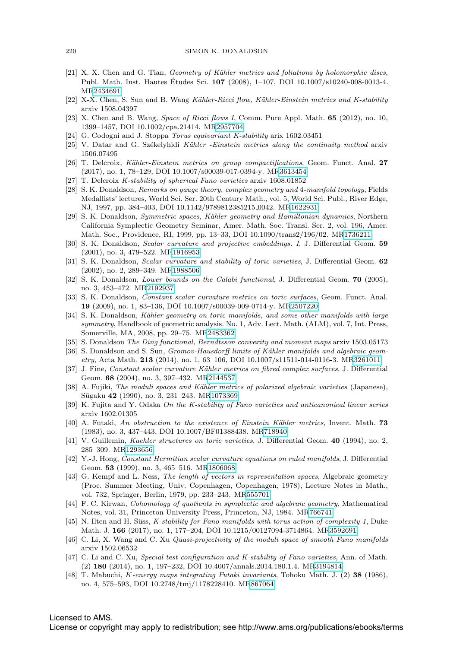- <span id="page-21-11"></span>[21] X. X. Chen and G. Tian, Geometry of Kähler metrics and foliations by holomorphic discs, Publ. Math. Inst. Hautes Études Sci. **107** (2008), 1–107, DOI 10.1007/s10240-008-0013-4. M[R2434691](http://www.ams.org/mathscinet-getitem?mr=2434691)
- <span id="page-21-21"></span>[22] X-X. Chen, S. Sun and B. Wang Kähler-Ricci flow, Kähler-Einstein metrics and K-stability arxiv 1508.04397
- <span id="page-21-20"></span>[23] X. Chen and B. Wang, Space of Ricci flows I, Comm. Pure Appl. Math. **65** (2012), no. 10, 1399–1457, DOI 10.1002/cpa.21414. M[R2957704](http://www.ams.org/mathscinet-getitem?mr=2957704)
- <span id="page-21-12"></span>[24] G. Codogni and J. Stoppa Torus equivariant K-stability arix 1602.03451
- <span id="page-21-19"></span> $[25]$  V. Datar and G. Székelyhidi Kähler -Einstein metrics along the continuity method arxiv 1506.07495
- <span id="page-21-18"></span>[26] T. Delcroix, K¨ahler-Einstein metrics on group compactifications, Geom. Funct. Anal. **27** (2017), no. 1, 78–129, DOI 10.1007/s00039-017-0394-y. M[R3613454](http://www.ams.org/mathscinet-getitem?mr=3613454)
- <span id="page-21-23"></span>[27] T. Delcroix K-stability of spherical Fano varieties arxiv 1608.01852
- <span id="page-21-1"></span>[28] S. K. Donaldson, Remarks on gauge theory, complex geometry and 4-manifold topology, Fields Medallists' lectures, World Sci. Ser. 20th Century Math., vol. 5, World Sci. Publ., River Edge, NJ, 1997, pp. 384–403, DOI 10.1142/9789812385215 0042. M[R1622931](http://www.ams.org/mathscinet-getitem?mr=1622931)
- <span id="page-21-2"></span>[29] S. K. Donaldson, Symmetric spaces, Kähler geometry and Hamiltonian dynamics, Northern California Symplectic Geometry Seminar, Amer. Math. Soc. Transl. Ser. 2, vol. 196, Amer. Math. Soc., Providence, RI, 1999, pp. 13–33, DOI 10.1090/trans2/196/02. M[R1736211](http://www.ams.org/mathscinet-getitem?mr=1736211)
- <span id="page-21-10"></span>[30] S. K. Donaldson, Scalar curvature and projective embeddings. I, J. Differential Geom. **59** (2001), no. 3, 479–522. M[R1916953](http://www.ams.org/mathscinet-getitem?mr=1916953)
- [31] S. K. Donaldson, Scalar curvature and stability of toric varieties, J. Differential Geom. **62** (2002), no. 2, 289–349. M[R1988506](http://www.ams.org/mathscinet-getitem?mr=1988506)
- <span id="page-21-8"></span>[32] S. K. Donaldson, Lower bounds on the Calabi functional, J. Differential Geom. **70** (2005), no. 3, 453–472. M[R2192937](http://www.ams.org/mathscinet-getitem?mr=2192937)
- <span id="page-21-16"></span>[33] S. K. Donaldson, Constant scalar curvature metrics on toric surfaces, Geom. Funct. Anal. **19** (2009), no. 1, 83–136, DOI 10.1007/s00039-009-0714-y. M[R2507220](http://www.ams.org/mathscinet-getitem?mr=2507220)
- <span id="page-21-17"></span>[34] S. K. Donaldson, Kähler geometry on toric manifolds, and some other manifolds with large symmetry, Handbook of geometric analysis. No. 1, Adv. Lect. Math. (ALM), vol. 7, Int. Press, Somerville, MA, 2008, pp. 29–75. M[R2483362](http://www.ams.org/mathscinet-getitem?mr=2483362)
- <span id="page-21-6"></span>[35] S. Donaldson The Ding functional, Berndtsson convexity and moment maps arxiv 1503.05173
- [36] S. Donaldson and S. Sun, *Gromov-Hausdorff limits of Kähler manifolds and algebraic geom*etry, Acta Math. **213** (2014), no. 1, 63–106, DOI 10.1007/s11511-014-0116-3. M[R3261011](http://www.ams.org/mathscinet-getitem?mr=3261011)
- <span id="page-21-14"></span>[37] J. Fine, Constant scalar curvature Kähler metrics on fibred complex surfaces, J. Differential Geom. **68** (2004), no. 3, 397–432. M[R2144537](http://www.ams.org/mathscinet-getitem?mr=2144537)
- <span id="page-21-3"></span>[38] A. Fujiki, The moduli spaces and Kähler metrics of polarized algebraic varieties (Japanese), S¯ugaku **42** (1990), no. 3, 231–243. M[R1073369](http://www.ams.org/mathscinet-getitem?mr=1073369)
- <span id="page-21-24"></span>[39] K. Fujita and Y. Odaka On the K-stability of Fano varieties and anticanonical linear series arxiv 1602.01305
- <span id="page-21-7"></span>[40] A. Futaki, An obstruction to the existence of Einstein K¨ahler metrics, Invent. Math. **73** (1983), no. 3, 437–443, DOI 10.1007/BF01388438. M[R718940](http://www.ams.org/mathscinet-getitem?mr=718940)
- <span id="page-21-15"></span>[41] V. Guillemin, Kaehler structures on toric varieties, J. Differential Geom. **40** (1994), no. 2, 285–309. M[R1293656](http://www.ams.org/mathscinet-getitem?mr=1293656)
- <span id="page-21-13"></span>[42] Y.-J. Hong, Constant Hermitian scalar curvature equations on ruled manifolds, J. Differential Geom. **53** (1999), no. 3, 465–516. M[R1806068](http://www.ams.org/mathscinet-getitem?mr=1806068)
- <span id="page-21-0"></span>[43] G. Kempf and L. Ness, The length of vectors in representation spaces, Algebraic geometry (Proc. Summer Meeting, Univ. Copenhagen, Copenhagen, 1978), Lecture Notes in Math., vol. 732, Springer, Berlin, 1979, pp. 233–243. M[R555701](http://www.ams.org/mathscinet-getitem?mr=555701)
- <span id="page-21-5"></span>[44] F. C. Kirwan, Cohomology of quotients in symplectic and algebraic geometry, Mathematical Notes, vol. 31, Princeton University Press, Princeton, NJ, 1984. M[R766741](http://www.ams.org/mathscinet-getitem?mr=766741)
- <span id="page-21-22"></span>[45] N. Ilten and H. Süss, K-stability for Fano manifolds with torus action of complexity 1, Duke Math. J. **166** (2017), no. 1, 177–204, DOI 10.1215/00127094-3714864. M[R3592691](http://www.ams.org/mathscinet-getitem?mr=3592691)
- <span id="page-21-25"></span>[46] C. Li, X. Wang and C. Xu Quasi-projectivity of the moduli space of smooth Fano manifolds arxiv 1502.06532
- <span id="page-21-9"></span>[47] C. Li and C. Xu, Special test configuration and K-stability of Fano varieties, Ann. of Math. (2) **180** (2014), no. 1, 197–232, DOI 10.4007/annals.2014.180.1.4. M[R3194814](http://www.ams.org/mathscinet-getitem?mr=3194814)
- <span id="page-21-4"></span>[48] T. Mabuchi, K-energy maps integrating Futaki invariants, Tohoku Math. J. (2) **38** (1986), no. 4, 575–593, DOI 10.2748/tmj/1178228410. M[R867064](http://www.ams.org/mathscinet-getitem?mr=867064)

# Licensed to AMS.